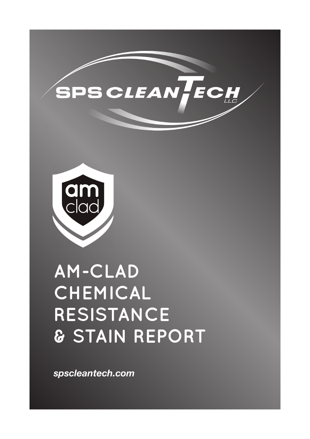



# **AM-CLAD CHEMICAL RESISTANCE & STAIN REPORT**

*spscleantech.com*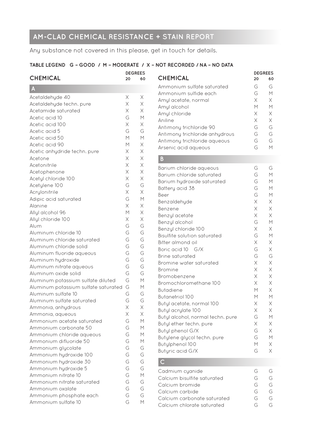# **AM-CLAD CHEMICAL RESISTANCE + STAIN REPORT**

Any substance not covered in this please, get in touch for details.

#### **TABLE LEGEND G – GOOD / M – MODERATE / X – NOT RECORDED / NA – NO DATA**

| <b>CHEMICAL</b>                               | <b>DEGREES</b><br>20 | 60             |
|-----------------------------------------------|----------------------|----------------|
| A                                             |                      |                |
| Acetaldehyde 40                               | Х                    | Х              |
| Acetaldehyde techn. pure                      | X                    | X              |
| Acetamide saturated                           | X                    | X              |
| Acetic acid 10                                | G                    | $\overline{M}$ |
| Acetic acid 100                               | Χ                    | Χ              |
| Acetic acid 5                                 | G                    | G              |
| Acetic acid 50                                | М                    | M              |
| Acetic acid 90                                | M                    | Χ              |
| Acetic anhydride techn. pure                  | X                    | Χ              |
| Acetone                                       | Χ                    | $\times$       |
| Acetonitrile                                  | Χ                    | $\times$       |
| Acetophenone                                  | Χ                    | $\times$       |
| Acetyl chloride 100                           | Χ                    | $\times$       |
| Acetylene 100                                 | G                    | G              |
| Acrylonitrile                                 | X                    | $\times$       |
| Adipic acid saturated                         | G                    | $\overline{M}$ |
| Alanine                                       | X                    | Χ              |
| Allyl alcohol 96                              | М                    | Χ              |
| Allyl chloride 100                            | Χ                    | Χ              |
| Alum                                          | G                    | G              |
| Aluminum chloride 10                          | G                    | G              |
| Aluminum chloride saturated                   | G                    | G              |
| Aluminum chloride solid                       | G                    | G              |
| Aluminum fluoride aqueous                     | G                    | G              |
| Aluminum hydroxide                            | G                    | G              |
| Aluminum nitrate aqueous                      | G                    | G              |
| Aluminum oxide solid                          | G                    | G              |
| Aluminum potassium sulfate diluted            | G                    | $\overline{M}$ |
| Aluminum potassium sulfate saturated          | G                    | М              |
| Aluminum sulfate 10                           | G                    | G              |
| Aluminum sulfate saturated                    | G                    | G              |
| Ammonia, anhydrous                            | Χ                    | Χ              |
| Ammonia, aqueous                              | Χ                    | Χ              |
| Ammonium acetate saturated                    | G                    | M              |
| Ammonium carbonate 50                         | G                    | М              |
| Ammonium chloride aqueous                     | G                    | М              |
| Ammonium difluoride 50                        | G                    | М              |
| Ammonium glycolate                            | G                    | G              |
| Ammonium hydroxide 100                        | G<br>G               | G<br>G         |
| Ammonium hydroxide 30<br>Ammonium hydroxide 5 | G                    | G              |
| Ammonium nitrate 10                           | G                    | $\overline{M}$ |
| Ammonium nitrate saturated                    | G                    | G              |
| Ammonium oxalate                              | G                    | G              |
| Ammonium phosphate each                       | G                    | G              |
| Ammonium sulfate 10                           | G                    | М              |
|                                               |                      |                |

| <b>CHEMICAL</b>                | 20  | 60 |
|--------------------------------|-----|----|
| Ammonium sulfate saturated     | G   | G  |
| Ammonium sulfide each          | G   | М  |
| Amyl acetate, normal           | Χ   | X  |
| Amyl alcohol                   | М   | М  |
| Amyl chloride                  | Χ   | X  |
| Aniline                        | Χ   | X  |
| Antimony trichloride 90        | G   | G  |
| Antimony trichloride anhydrous | G   | G  |
| Antimony trichloride aqueous   | G   | G  |
| Arsenic acid aqueous           | ( – |    |

**DEGREES**

#### **B**

| Barium chloride aqueous             | G           | G           |
|-------------------------------------|-------------|-------------|
| Barium chloride saturated           | G           | M           |
| Barium hydroxide saturated          | G           | M           |
| Battery acid 38                     | G           | M           |
| Beer                                | G           | М           |
| Benzaldehyde                        | $\times$    | Χ           |
| Benzene                             | X           | Χ           |
| Benzyl acetate                      | $\times$    | $\times$    |
| Benzyl alcohol                      | G           | M           |
| Benzyl chloride 100                 | X           | X           |
| <b>Bisulfite solution saturated</b> | G           | M           |
| Bitter almond oil                   | $\mathsf X$ | Χ           |
| Boric acid 10 G/X                   | G           | Χ           |
| <b>Brine saturated</b>              | G           | G           |
| Bromine water saturated             | $\mathsf X$ | $\mathsf X$ |
| Bromine                             | X           | X           |
| Bromobenzene                        | X           | Χ           |
| Bromochloromethane 100              | $\times$    | Χ           |
| <b>Butadiene</b>                    | М           | $\times$    |
| <b>Butanetriol 100</b>              | М           | M           |
| Butyl acetate, normal 100           | X           | Χ           |
| Butyl acrylate 100                  | Χ           | $\times$    |
| Butyl alcohol, normal techn. pure   | G           | M           |
| Butyl ether techn. pure             | $\times$    | Χ           |
| Butyl phenol G/X                    | G           | Χ           |
| Butylene glycol techn. pure         | G           | М           |
| Butylphenol 100                     | М           | Χ           |
| Butyric acid G/X                    | G           | Χ           |
|                                     |             |             |

#### **C**

| Cadmium cyanide             | $(\neg$          |   |
|-----------------------------|------------------|---|
| Calcium bisulfite saturated | $\overline{(-)}$ | G |
| Calcium bromide             | G                | G |
| Calcium carbide             | $\overline{(-)}$ | G |
| Calcium carbonate saturated | $\overline{(-)}$ | G |
| Calcium chlorate saturated  | $($ $\neg$       |   |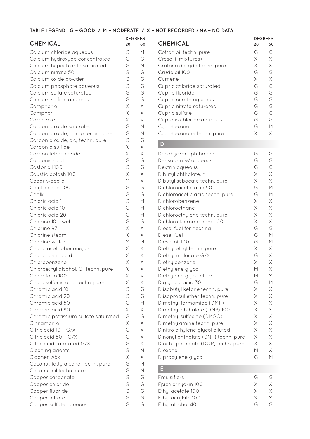## **CHEMICAL <sup>20</sup> <sup>60</sup>**

| Calcium chloride aqueous<br>Calcium hydroxyde concentrated<br>Calcium hypochlorite saturated<br>Calcium nitrate 50<br>Calcium oxide powder<br>Calcium phosphate aqueous<br>Calcium sulfate saturated<br>Calcium sulfide aqueous<br>Camphor oil<br>Camphor | G<br>G<br>G<br>G<br>G<br>G<br>G<br>G<br>$\times$<br>$\times$ | М<br>G<br>M<br>G<br>G<br>G<br>G<br>G<br>X<br>$\times$ |
|-----------------------------------------------------------------------------------------------------------------------------------------------------------------------------------------------------------------------------------------------------------|--------------------------------------------------------------|-------------------------------------------------------|
| Carbazole                                                                                                                                                                                                                                                 | Χ                                                            | Χ                                                     |
| Carbon dioxide saturated<br>Carbon dioxide, damp techn. pure<br>Carbon dioxide, dry techn. pure<br>Carbon disulfide<br>Carbon tetrachloride<br>Carbonic acid                                                                                              | G<br>G<br>G<br>$\times$<br>$\times$<br>G                     | $\overline{M}$<br>$\overline{M}$<br>G<br>X<br>Χ<br>G  |
| Castor oil 100                                                                                                                                                                                                                                            | G                                                            | G                                                     |
| Caustic potash 100<br>Cedar wood oil<br>Cetyl alcohol 100                                                                                                                                                                                                 | $\times$<br>M<br>G                                           | $\times$<br>$\times$<br>G                             |
| Chalk                                                                                                                                                                                                                                                     | G<br>G                                                       | G<br>M                                                |
| Chloric acid 1<br>Chloric acid 10                                                                                                                                                                                                                         | G                                                            | М                                                     |
| Chloric acid 20                                                                                                                                                                                                                                           | G                                                            | М                                                     |
| Chlorine 10 wet                                                                                                                                                                                                                                           | G                                                            | G                                                     |
| Chlorine 97                                                                                                                                                                                                                                               | $\times$                                                     | X                                                     |
| Chlorine steam                                                                                                                                                                                                                                            | $\times$                                                     | Χ                                                     |
| Chlorine water                                                                                                                                                                                                                                            | M                                                            | M                                                     |
| Chloro acetophenone, p-                                                                                                                                                                                                                                   | $\times$                                                     | $\times$                                              |
| Chloroacetic acid                                                                                                                                                                                                                                         | Χ                                                            | Χ                                                     |
| Chlorobenzene                                                                                                                                                                                                                                             | Χ                                                            | $\times$                                              |
| Chloroethyl alcohol, G-techn. pure                                                                                                                                                                                                                        | Χ                                                            | Χ                                                     |
| Chloroform 100                                                                                                                                                                                                                                            | Χ                                                            | Χ                                                     |
| Chlorosulfonic acid techn. pure                                                                                                                                                                                                                           | X                                                            | X                                                     |
| Chromic acid 10                                                                                                                                                                                                                                           | G                                                            | G                                                     |
| Chromic acid 20                                                                                                                                                                                                                                           | G                                                            | G                                                     |
| Chromic acid 50                                                                                                                                                                                                                                           | G                                                            | M                                                     |
| Chromic acid 80                                                                                                                                                                                                                                           | $\times$                                                     | $\mathsf X$                                           |
| Chromic potassium sulfate saturated                                                                                                                                                                                                                       | G                                                            | G                                                     |
| Cinnamon oil                                                                                                                                                                                                                                              | X                                                            | X                                                     |
| Citric acid 10<br>G/X                                                                                                                                                                                                                                     | G                                                            | Χ                                                     |
| Citric acid 50<br>G/X                                                                                                                                                                                                                                     | G                                                            | X                                                     |
| Citric acid saturated G/X                                                                                                                                                                                                                                 | G                                                            | $\times$                                              |
| Cleaning agents                                                                                                                                                                                                                                           | G                                                            | M                                                     |
| Clophen A6k                                                                                                                                                                                                                                               | $\times$                                                     | Χ                                                     |
| Coconut fatty alcohol techn. pure                                                                                                                                                                                                                         | G                                                            | М                                                     |
| Coconut oil techn. pure                                                                                                                                                                                                                                   | G                                                            | М                                                     |
| Copper carbonate                                                                                                                                                                                                                                          | G                                                            | G                                                     |
| Copper chloride                                                                                                                                                                                                                                           | G                                                            | G                                                     |
| Copper fluoride                                                                                                                                                                                                                                           | G                                                            | G                                                     |
| Copper nitrate                                                                                                                                                                                                                                            | G                                                            | G                                                     |
| Copper sulfate aqueous                                                                                                                                                                                                                                    | G                                                            | G                                                     |

|  |                            | <b>DEGREES</b> |    |
|--|----------------------------|----------------|----|
|  | <b>CHEMICAL</b>            | 20             | 60 |
|  | Cotton oil techn. pure     | G              | G  |
|  | Cresol (-mixtures)         | Χ              | Χ  |
|  | Crotonaldehyde techn. pure | X              | Χ  |
|  | Crude oil 100              | G              | G  |
|  | Cumene                     | Χ              | Χ  |
|  | Cupric chloride saturated  | G              | G  |
|  | Cupric fluoride            | G              | G  |
|  | Cupric nitrate aqueous     | G              | G  |
|  | Cupric nitrate saturated   | G              | G  |
|  | Cupric sulfate             | G              | G  |
|  | Cuprous chloride aqueous   | G              | G  |
|  | Cyclohexane                | G              | М  |
|  | Cyclohexanone techn. pure  | X              |    |
|  |                            |                |    |

#### **D**

| Decahydronaphthalene                | G        | G              |
|-------------------------------------|----------|----------------|
| Densodrin W aqueous                 | G        | G              |
| Dextrin aqueous                     | G        | G              |
| Dibutyl phthalate, n-               | Χ        | $\times$       |
| Dibutyl sebacate techn. pure        | X        | Χ              |
| Dichloroacetic acid 50              | G        | M              |
| Dichloroacetic acid techn. pure     | G        | М              |
| Dichlorobenzene                     | X        | Χ              |
| Dichloroethane                      | Χ        | Χ              |
| Dichloroethylene techn. pure        | Χ        | Χ              |
| Dichlorofluoromethane 100           | Χ        | Χ              |
| Diesel fuel for heating             | G        | G              |
| Diesel fuel                         | G        | M              |
| Diesel oil 100                      | G        | M              |
| Diethyl ethyl techn. pure           | X        | X              |
| Diethyl malonate G/X                | G        | Χ              |
| Diethylbenzene                      | $\times$ | Χ              |
| Diethylene glycol                   | M        | Χ              |
| Diethylene glycolether              | М        | X              |
| Diglycolic acid 30                  | G        | М              |
| Diisobutyl ketone techn. pure       | Χ        | Χ              |
| Diisopropyl ether techn. pure       | $\times$ | Χ              |
| Dimethyl formamide (DMF)            | X        | Χ              |
| Dimethyl phthalate (DMP) 100        | X        | Χ              |
| Dimethyl sulfoxide (DMSO)           | X        | $\mathsf X$    |
| Dimethylamine techn. pure           | Χ        | Χ              |
| Dinitro ethylene glycol diluted     | Χ        | Χ              |
| Dinonyl phthalate (DNP) techn. pure | Χ        | Χ              |
| Dioctyl phthalate (DOP) techn. pure | Χ        | Χ              |
| Dioxane                             | М        | Χ              |
| Dipropylene glycol                  | G        | $\overline{M}$ |

#### **E**

| <b>Emulsifiers</b> | $\overline{(-)}$ | $\overline{(-)}$ |
|--------------------|------------------|------------------|
| Epichlorhydrin 100 | X                |                  |
| Ethyl acetate 100  | X.               |                  |
| Ethyl acrylate 100 | X                |                  |
| Ethyl alcohol 40   | G                |                  |
|                    |                  |                  |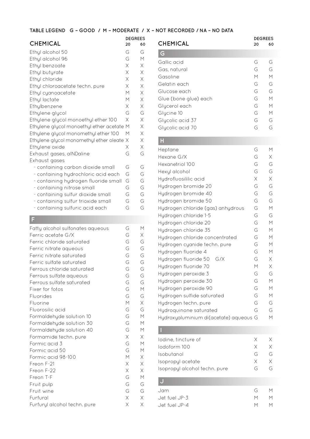| <b>CHEMICAL</b><br>20                     |   | <b>DEGREES</b><br>60 |
|-------------------------------------------|---|----------------------|
| Ethyl alcohol 50                          | G | G                    |
| Ethyl alcohol 96                          | G | М                    |
| Ethyl benzoate                            | X | Χ                    |
| Ethyl butyrate                            | X | Χ                    |
| Ethyl chloride                            | X | Χ                    |
| Ethyl chloroacetate techn. pure           | Χ | Χ                    |
| Ethyl cyanoacetate                        | М | Χ                    |
| Ethyl lactate                             | М | Χ                    |
| Ethylbenzene                              | X | Χ                    |
| Ethylene glycol                           | G | G                    |
| Ethylene glycol monoethyl ether 100       | X | X                    |
| Ethylene glycol monoethyl ether acetate M |   | X                    |
| Ethylene glycol monomethyl ether 100      | М | Χ                    |
| Ethylene glycol monomethyl ether oleate X |   | Χ                    |
| Ethylene oxide                            | Χ | Χ                    |
| Exhaust gases, alNDaline                  | G | G                    |
| Exhaust gases                             |   |                      |
| - containing carbon dioxide small         | G | G                    |
| - containing hydrochloric acid each       | G | G                    |
| - containing hydrogen fluoride small      | G | G                    |
| - containing nitrose small                | G | G                    |
| - containing sulfur dioxide small         | G | G                    |
| - containing sulfur trioxide small        | G | G                    |
| - containing sulfuric acid each           | G | G                    |

# **F**

| Fatty alcohol sulfonates aqueous | G              | М        |
|----------------------------------|----------------|----------|
| Ferric acetate G/X               | G              | Χ        |
| Ferric chloride saturated        | G              | G        |
| Ferric nitrate aqueous           | G              | G        |
| Ferric nitrate saturated         | G              | G        |
| Ferric sulfate saturated         | G              | G        |
| Ferrous chloride saturated       | G              | G        |
| Ferrous sulfate aqueous          | G              | G        |
| Ferrous sulfate saturated        | G              | G        |
| Fixer for fotos                  | G              | M        |
| Fluorides                        | G              | G        |
| Fluorine                         | M              | $\times$ |
| Fluorosilic acid                 | G              | G        |
| Formaldehyde solution 10         | G              | M        |
| Formaldehyde solution 30         | G              | M        |
| Formaldehyde solution 40         | G              | М        |
| Formamide techn. pure            | Χ              | Χ        |
| Formic acid 3                    | G              | M        |
| Formic acid 50                   | G              | M        |
| Formic acid 98-100               | $\overline{M}$ | Χ        |
| Freon F-21                       | X              | Χ        |
| Freon F-22                       | Χ              | X        |
| Freon T-F                        | G              | M        |
| Fruit pulp                       | G              | G        |
| Fruit wine                       | G              | G        |
| Furfural                         | $\times$       | Χ        |
| Furfuryl alcohol techn. pure     | X              | X        |
|                                  |                |          |

| <b>CHEMICAL</b>       | 20 | <b>DEGREES</b><br>60 |
|-----------------------|----|----------------------|
| G                     |    |                      |
| Gallic acid           | G  | G                    |
| Gas. natural          | G  | G                    |
| Gasoline              | М  | М                    |
| Gelatin each          | G  | G                    |
| Glucose each          | G  | G                    |
| Glue (bone glue) each | G  | М                    |
| Glycerol each         | G  | М                    |
| Glycine 10            | G  | М                    |
| Glycolic acid 37      | G  | G                    |
| Glycolic acid 70      | G  | G                    |
|                       |    |                      |

# **HH**

| Hexane G/X<br>G<br>G<br>Hexanetriol 100<br>G<br>Hexyl alcohol<br>X<br>Hydrofluosililic acid<br>G<br>Hydrogen bromide 20<br>G<br>Hydrogen bromide 40<br>G<br>Hydrogen bromide 50<br>G<br>Hydrogen chloride (gas) anhydrous<br>G<br>Hydrogen chloride 1-5<br>G<br>Hydrogen chloride 20<br>G<br>Hydrogen chloride 35<br>G<br>Hydrogen chloride concentrated<br>G<br>Hydrogen cyanide techn. pure<br>G<br>Hydrogen fluoride 4<br>G<br>G/X<br>Hydrogen fluoride 50<br>Hydrogen fluoride 70<br>М<br>G<br>Hydrogen peroxide 3<br>G<br>Hydrogen peroxide 30<br>G<br>Hydrogen peroxide 90<br>G<br>Hydrogen sulfide saturated<br>G<br>Hydrogen techn. pure<br>G<br>Hydroquinone saturated<br>Hydroxyaluminium di(acetate) aqueous G | Heptane | G | M |
|---------------------------------------------------------------------------------------------------------------------------------------------------------------------------------------------------------------------------------------------------------------------------------------------------------------------------------------------------------------------------------------------------------------------------------------------------------------------------------------------------------------------------------------------------------------------------------------------------------------------------------------------------------------------------------------------------------------------------|---------|---|---|
|                                                                                                                                                                                                                                                                                                                                                                                                                                                                                                                                                                                                                                                                                                                           |         |   | X |
|                                                                                                                                                                                                                                                                                                                                                                                                                                                                                                                                                                                                                                                                                                                           |         |   | G |
|                                                                                                                                                                                                                                                                                                                                                                                                                                                                                                                                                                                                                                                                                                                           |         |   | G |
|                                                                                                                                                                                                                                                                                                                                                                                                                                                                                                                                                                                                                                                                                                                           |         |   | Χ |
|                                                                                                                                                                                                                                                                                                                                                                                                                                                                                                                                                                                                                                                                                                                           |         |   | G |
|                                                                                                                                                                                                                                                                                                                                                                                                                                                                                                                                                                                                                                                                                                                           |         |   | G |
|                                                                                                                                                                                                                                                                                                                                                                                                                                                                                                                                                                                                                                                                                                                           |         |   | G |
|                                                                                                                                                                                                                                                                                                                                                                                                                                                                                                                                                                                                                                                                                                                           |         |   | M |
|                                                                                                                                                                                                                                                                                                                                                                                                                                                                                                                                                                                                                                                                                                                           |         |   | G |
|                                                                                                                                                                                                                                                                                                                                                                                                                                                                                                                                                                                                                                                                                                                           |         |   | M |
|                                                                                                                                                                                                                                                                                                                                                                                                                                                                                                                                                                                                                                                                                                                           |         |   | M |
|                                                                                                                                                                                                                                                                                                                                                                                                                                                                                                                                                                                                                                                                                                                           |         |   | M |
|                                                                                                                                                                                                                                                                                                                                                                                                                                                                                                                                                                                                                                                                                                                           |         |   | M |
|                                                                                                                                                                                                                                                                                                                                                                                                                                                                                                                                                                                                                                                                                                                           |         |   | M |
|                                                                                                                                                                                                                                                                                                                                                                                                                                                                                                                                                                                                                                                                                                                           |         |   | Χ |
|                                                                                                                                                                                                                                                                                                                                                                                                                                                                                                                                                                                                                                                                                                                           |         |   | Χ |
|                                                                                                                                                                                                                                                                                                                                                                                                                                                                                                                                                                                                                                                                                                                           |         |   | G |
|                                                                                                                                                                                                                                                                                                                                                                                                                                                                                                                                                                                                                                                                                                                           |         |   | M |
|                                                                                                                                                                                                                                                                                                                                                                                                                                                                                                                                                                                                                                                                                                                           |         |   | M |
|                                                                                                                                                                                                                                                                                                                                                                                                                                                                                                                                                                                                                                                                                                                           |         |   | M |
|                                                                                                                                                                                                                                                                                                                                                                                                                                                                                                                                                                                                                                                                                                                           |         |   | G |
|                                                                                                                                                                                                                                                                                                                                                                                                                                                                                                                                                                                                                                                                                                                           |         |   | G |
|                                                                                                                                                                                                                                                                                                                                                                                                                                                                                                                                                                                                                                                                                                                           |         |   | М |

## **I**

| lodine, tincture of           | X.    |      |
|-------------------------------|-------|------|
| lodoform 100                  | X.    | X    |
| Isobutanol                    | G.    | $(-$ |
| Isopropyl acetate             | X.    |      |
| Isopropyl alcohol techn. pure | $(-)$ |      |

## **J**

| G. | M |
|----|---|
| M  | M |
| M. | M |
|    |   |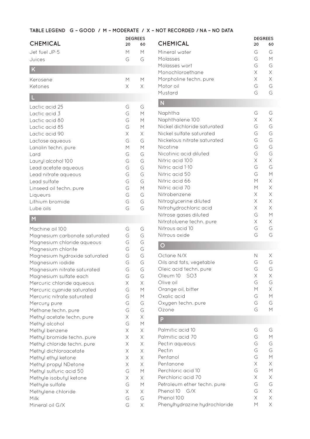|                 | <b>DEGREES</b> |    |
|-----------------|----------------|----|
| <b>CHEMICAL</b> | 20             | 60 |
| Jet fuel JP-5   | М              | М  |
| Juices          | G              | G  |
| K               |                |    |
| Kerosene        | М              | м  |
| Ketones         | Χ              |    |

# **L**

| Lactic acid 25          | G | G |
|-------------------------|---|---|
| Lactic acid 3           | G | М |
| Lactic acid 80          | G | М |
| Lactic acid 85          | G | М |
| Lactic acid 90          | X | Χ |
| Lactose aqueous         | G | G |
| Lanolin techn. pure     | М | М |
| Lard                    | G | G |
| Lauryl alcohol 100      | G | G |
| Lead acetate aqueous    | G | G |
| Lead nitrate aqueous    | G | G |
| Lead sulfate            | G | G |
| Linseed oil techn. pure | G | М |
| Liqueurs                | G | G |
| Lithium bromide         | G | G |
| Lube oils               | G | G |

## **M**

| Machine oil 100               | G           | G           |
|-------------------------------|-------------|-------------|
| Magnesium carbonate saturated | G           | G           |
| Magnesium chloride aqueous    | G           | G           |
| Magnesium chlorite            | G           | G           |
| Magnesium hydroxide saturated | G           | G           |
| Magnesium iodide              | G           | G           |
| Magnesium nitrate saturated   | G           | G           |
| Magnesium sulfate each        | G           | G           |
| Mercuric chloride aqueous     | $\mathsf X$ | $\times$    |
| Mercuric cyanide saturated    | G           | M           |
| Mercuric nitrate saturated    | G           | М           |
| Mercury pure                  | G           | G           |
| Methane techn. pure           | G           | G           |
| Methyl acetate techn. pure    | X           | $\times$    |
| Methyl alcohol                | G           | M           |
| Methyl benzene                | X           | X           |
| Methyl bromide techn. pure    | $\times$    | Χ           |
| Methyl chloride techn. pure   | Χ           | $\mathsf X$ |
| Methyl dichloroacetate        | Χ           | Χ           |
| Methyl ethyl ketone           | $\times$    | $\mathsf X$ |
| Methyl propyl NDetone         | Χ           | X           |
| Methyl sulfuric acid 50       | G           | М           |
| Methyle isobutyl ketone       | X           | Χ           |
| Methyle sulfate               | G           | М           |
| Methylene chloride            | $\times$    | Χ           |
| Milk                          | G           | G           |
| Mineral oil G/X               | G           | Χ           |

|                        |                | <b>DEGREES</b> |  |
|------------------------|----------------|----------------|--|
| <b>CHEMICAL</b>        | 20             | 60             |  |
| Mineral water          | $\overline{G}$ | G              |  |
| Molasses               | G              | М              |  |
| Molasses wort          | G              | G              |  |
| Monochloroethane       | X              | Χ              |  |
| Morpholine techn. pure | X              | Χ              |  |
| Motor oil              | G              | G              |  |
| Mustard                |                |                |  |

## **N**

| Naphtha                     | G | G |
|-----------------------------|---|---|
| Naphthalene 100             | Χ | Χ |
| Nickel dichloride saturated | G | G |
| Nickel sulfate saturated    | G | G |
| Nickelous nitrate saturated | G | G |
| Nicotine                    | G | G |
| Nicotinic acid diluted      | G | G |
| Nitric acid 100             | Χ | Χ |
| Nitric acid 1-10            | G | G |
| Nitric acid 50              | G | М |
| Nitric acid 66              | М | Χ |
| Nitric acid 70              | М | Χ |
| Nitrobenzene                | Χ | Χ |
| Nitroglycerine diluted      | Χ | Χ |
| Nitrohydrochloric acid      | Χ | X |
| Nitrose gases diluted       | G | М |
| Nitrotoluene techn. pure    | X | Χ |
| Nitrous acid 10             | G | G |
| Nitrous oxide               | G | G |
|                             |   |   |

# **O**

| Octane N/X<br>Oils and fats, vegetable<br>Oleic acid techn. pure<br>SO3<br>Oleum 10<br>Olive oil<br>Orange oil, bitter<br>Oxalic acid<br>Oxygen techn. pure<br>Ozone<br>P                              | N<br>G<br>G<br>Χ<br>G<br>М<br>G<br>G<br>G           | Χ<br>G<br>G<br>Χ<br>G<br>X<br>М<br>G<br>М           |
|--------------------------------------------------------------------------------------------------------------------------------------------------------------------------------------------------------|-----------------------------------------------------|-----------------------------------------------------|
| Palmitic acid 10<br>Palmitic acid 70<br>Pectin aqueous<br>Pectin<br>Pentanol<br>Pentanone<br>Perchloric acid 10<br>Perchloric acid 70<br>Petroleum ether techn. pure<br>Phenol 10<br>G/X<br>Phenol 100 | G<br>G<br>G<br>G<br>G<br>X<br>G<br>X<br>G<br>G<br>Χ | G<br>М<br>G<br>G<br>М<br>Χ<br>М<br>Χ<br>G<br>X<br>Χ |
| Phenylhydrazine hydrochloride                                                                                                                                                                          | М                                                   | Χ                                                   |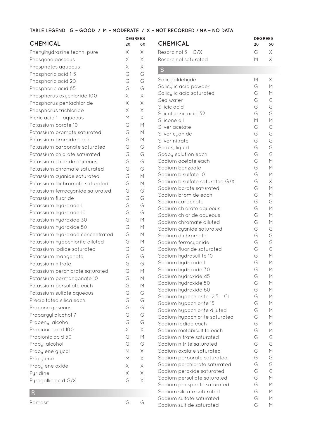**DEGREES**

| <b>CHEMICAL</b> |  |
|-----------------|--|
|-----------------|--|

| <b>CHEMICAL</b>                  | 20     | 60                       |
|----------------------------------|--------|--------------------------|
| Phenylhydrazine techn. pure      | Χ      | Χ                        |
| Phosgene gaseous                 | Χ      | X                        |
| Phosphates aqueous               | Χ      | X                        |
| Phosphoric acid 1-5              | G      | G                        |
| Phosphoric acid 20               | G      | G                        |
| Phosphoric acid 85               | G      | G                        |
| Phosphorus oxychloride 100       | Χ      | Χ                        |
| Phosphorus pentachloride         | Χ      | $\mathsf X$              |
| Phosphorus trichloride           | X      | $\times$                 |
| Picric acid 1 aqueous            | М      | $\times$                 |
| Potassium borate 10              | G      | M                        |
| Potassium bromate saturated      | G      | М                        |
| Potassium bromide each           | G      | М                        |
| Potassium carbonate saturated    | G      | G                        |
| Potassium chlorate saturated     | G      | G                        |
| Potassium chloride aqueous       | G      | G                        |
| Potassium chromate saturated     | G      | G                        |
| Potassium cyanide saturated      | G      | М                        |
| Potassium dichromate saturated   | G      | М                        |
| Potassium ferrocyanide saturated | G      | G                        |
| Potassium fluoride               | G      | G                        |
| Potassium hydroxide 1            | G      | G                        |
| Potassium hydroxide 10           | G      | G                        |
| Potassium hydroxide 30           | G      | M                        |
| Potassium hydroxide 50           | G      | M                        |
| Potassium hydroxide concentrated | G      | M                        |
| Potassium hypochlorite diluted   | G      | М                        |
| Potassium iodide saturated       | G      | G                        |
| Potassium manganate              | G      | G                        |
| Potassium nitrate                | G      | G                        |
| Potassium perchlorate saturated  | G      | M                        |
| Potassium permanganate 10        | G      | М                        |
| Potassium persulfate each        | G      | М                        |
| Potassium sulfate aqueous        | G      | G                        |
| Precipitated silica each         | G      | G                        |
| Propane gaseous                  | G      | G                        |
| Propargyl alcohol 7              | G      | G                        |
| Propenyl alcohol                 | G      | G                        |
| Propionic acid 100               | Χ      | $\times$<br>$\mathsf{M}$ |
| Propionic acid 50                | G<br>G |                          |
| Propyl alcohol                   | M      | G<br>$\times$            |
| Propylene glycol                 | М      | $\times$                 |
| Propylene                        | Χ      | Χ                        |
| Propylene oxide<br>Pyridine      | Χ      | Χ                        |
| Pyrogallic acid G/X              | G      | Χ                        |
| R                                |        |                          |
|                                  |        |                          |

| <b>CHEMICAL</b>                | 20 | <b>DEGREES</b><br>60                                                                                       |
|--------------------------------|----|------------------------------------------------------------------------------------------------------------|
| Resorcinol 5 G/X               | G  | X                                                                                                          |
| Resorcinol saturated           | М  | Χ                                                                                                          |
| S                              |    |                                                                                                            |
| Salicylaldehyde                | М  | X                                                                                                          |
| Salicylic acid powder          | G  | M                                                                                                          |
| Salicylic acid saturated       | G  | $\mathsf{M}$                                                                                               |
| Sea water                      | G  | G                                                                                                          |
| Silicic acid                   | G  | G                                                                                                          |
| Silicofluoric acid 32          | G  | G                                                                                                          |
| Silicone oil                   | М  | $\overline{M}$                                                                                             |
| Silver acetate                 | G  | G                                                                                                          |
| Silver cyanide                 | G  | G                                                                                                          |
| Silver nitrate                 | G  | G                                                                                                          |
| Soaps, liquid                  | G  | G                                                                                                          |
| Soapy solution each            | G  | G                                                                                                          |
| Sodium acetate each            | G  | $\overline{M}$                                                                                             |
| Sodium benzoate                | G  | M                                                                                                          |
| Sodium bisulfate 10            | G  | M                                                                                                          |
| Sodium bisulfate saturated G/X | G  | X                                                                                                          |
| Sodium borate saturated        | G  | М                                                                                                          |
| Sodium bromide each            | G  | M                                                                                                          |
| Sodium carbonate               | G  | G                                                                                                          |
| Sodium chlorate aqueous        | G  | M                                                                                                          |
| Sodium chloride aqueous        | G  | $\mathsf{M}% _{T}=\mathsf{M}_{T}\!\left( a,b\right) ,\ \mathsf{M}_{T}=\mathsf{M}_{T}\!\left( a,b\right) ,$ |
| Sodium chromate diluted        | G  | $\overline{M}$                                                                                             |
| Sodium cyanide saturated       | G  | G                                                                                                          |
| Sodium dichromate              | G  | G                                                                                                          |
| Sodium ferrocyanide            | G  | G                                                                                                          |
| Sodium fluoride saturated      | G  | G                                                                                                          |
| Sodium hydrosulfite 10         | G  | М                                                                                                          |
| Sodium hydroxide 1             | G  | М                                                                                                          |
| Sodium hydroxide 30            | G  | M                                                                                                          |
| Sodium hydroxide 45            | G  | М                                                                                                          |
| Sodium hydroxide 50            | G  | M                                                                                                          |
| Sodium hydroxide 60            | G  | М                                                                                                          |
| Sodium hypochlorite 12,5<br>CI | G  | $\mathsf{M}$                                                                                               |
| Sodium hypochlorite 15         | G  | М                                                                                                          |
| Sodium hypochlorite diluted    | G  | М                                                                                                          |
| Sodium hypochlorite saturated  | G  | М                                                                                                          |
| Sodium iodide each             | G  | М                                                                                                          |
| Sodium metabisulfite each      | G  | $\mathsf{M}% _{T}=\mathsf{M}_{T}\!\left( a,b\right) ,\ \mathsf{M}_{T}=\mathsf{M}_{T}\!\left( a,b\right) ,$ |
| Sodium nitrate saturated       | G  | G                                                                                                          |
| Sodium nitrite saturated       | G  | G                                                                                                          |
| Sodium oxalate saturated       | G  | $\overline{M}$                                                                                             |
| Sodium perborate saturated     | G  | G                                                                                                          |
| Sodium perchlorate saturated   | G  | G                                                                                                          |
| Sodium peroxide saturated      | G  | G                                                                                                          |
| Sodium persulfate saturated    | G  | M                                                                                                          |
| Sodium phosphate saturated     | G  | М                                                                                                          |
| Sodium silicate saturated      | G  | М                                                                                                          |
| Sodium sulfate saturated       | G  | М                                                                                                          |
| Sodium sulfide saturated       | G  | М                                                                                                          |
|                                |    |                                                                                                            |

Ramasit G G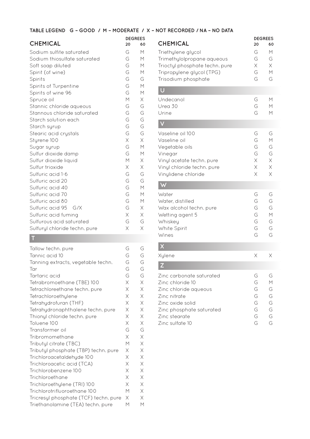**DEGREES**

## **CHEMICAL <sup>20</sup> <sup>60</sup>**

| Sodium sulfite saturated      | G           | М        |
|-------------------------------|-------------|----------|
| Sodium thiosulfate saturated  | G           | М        |
| Soft soap diluted             | G           | M        |
| Spirit (of wine)              | G           | M        |
| Spirits                       | G           | G        |
| Spirits of Turpentine         | G           | M        |
| Spirits of wine 96            | G           | М        |
| Spruce oil                    | М           | Χ        |
| Stannic chloride aqueous      | G           | G        |
| Stannous chloride saturated   | G           | G        |
| Starch solution each          | G           | G        |
| Starch syrup                  | G           | G        |
| Stearic acid crystals         | G           | G        |
| Styrene 100                   | $\mathsf X$ | $\times$ |
| Sugar syrup                   | G           | M        |
| Sulfur dioxide damp           | G           | M        |
| Sulfur dioxide liquid         | M           | $\times$ |
| Sulfur trioxide               | X           | Χ        |
| Sulfuric acid 1-6             | G           | G        |
| Sulfuric acid 20              | G           | G        |
| Sulfuric acid 40              | G           | M        |
| Sulfuric acid 70              | G           | М        |
| Sulfuric acid 80              | G           | M        |
| Sulfuric acid 95 G/X          | G           | Χ        |
| Sulfuric acid fuming          | Χ           | Χ        |
| Sulfurous acid saturated      | G           | G        |
| Sulfuryl chloride techn. pure | Χ           | X        |
|                               |             |          |

# **T**

| Tallow techn. pure                    | G        | G           |
|---------------------------------------|----------|-------------|
| Tannic acid 10                        | G        | G           |
| Tanning extracts, vegetable techn.    | G        | G           |
| Tar                                   | G        | G           |
| Tartaric acid                         | G        | G           |
| Tetrabromoethane (TBE) 100            | X        | $\times$    |
| Tetrachloreethane techn. pure         | Χ        | $\times$    |
| Tetrachloroethylene                   | $\times$ | X           |
| Tetrahydrofuran (THF)                 | X        | $\times$    |
| Tetrahydronaphthalene techn. pure     | X        | $\times$    |
| Thionyl chloride techn. pure          | X        | $\times$    |
| Toluene 100                           | $\times$ | Χ           |
| Transformer oil                       | G        | G           |
| Tribromomethane                       | $\times$ | $\mathsf X$ |
| Tributyl citrate (TBC)                | М        | X           |
| Tributyl phosphate (TBP) techn. pure  | X        | $\times$    |
| Trichloroacetaldehyde 100             | X        | X           |
| Trichloroacetic acid (TCA)            | X        | X           |
| Trichlorobenzene 100                  | X        | X           |
| Trichloroethane                       | X        | X           |
| Trichloroethylene (TRI) 100           | X        | $\times$    |
| Trichlorotrifluoroethane 100          | М        | X           |
| Tricresyl phosphate (TCF) techn. pure | X        | $\times$    |
| Triethanolamine (TEA) techn. pure     | М        | М           |

| <b>CHEMICAL</b>                                                                                                                                                           | <b>DEGREES</b><br>60<br>20           |                                        |
|---------------------------------------------------------------------------------------------------------------------------------------------------------------------------|--------------------------------------|----------------------------------------|
| Triethylene glycol<br>Trimethylolpropane aqueous<br>Trioctyl phosphate techn. pure<br>Tripropylene glycol (TPG)<br>Trisodium phosphate                                    | G<br>G<br>Χ<br>G<br>G                | M<br>G<br>$\times$<br>M<br>G           |
|                                                                                                                                                                           |                                      |                                        |
| Undecanol<br>Urea 30<br>Urine                                                                                                                                             | G<br>G<br>G                          | М<br>М<br>М                            |
|                                                                                                                                                                           |                                      |                                        |
| Vaseline oil 100<br>Vaseline oil<br>Vegetable oils<br>Vinegar<br>Vinyl acetate techn. pure<br>Vinyl chloride techn. pure<br>Vinylidene chloride                           | G<br>G<br>G<br>G<br>Χ<br>X<br>Χ      | G<br>M<br>G<br>G<br>$\times$<br>X<br>X |
|                                                                                                                                                                           |                                      |                                        |
| Water<br>Water, distilled<br>Wax alcohol techn. pure<br>Wetting agent 5<br>Whiskey<br>White Spirit<br>Wines                                                               | G<br>G<br>G<br>G<br>G<br>G<br>G      | G<br>G<br>G<br>M<br>G<br>G<br>G        |
|                                                                                                                                                                           |                                      |                                        |
| Xylene                                                                                                                                                                    | Χ                                    | Х                                      |
| $\mathsf{Z}$                                                                                                                                                              |                                      |                                        |
| Zinc carbonate saturated<br>Zinc chloride 10<br>Zinc chloride aqueous<br>Zinc nitrate<br>Zinc oxide solid<br>Zinc phosphate saturated<br>Zinc stearate<br>Zinc sulfate 10 | G<br>G<br>G<br>G<br>G<br>G<br>G<br>G | G<br>М<br>G<br>G<br>G<br>G<br>G<br>G   |